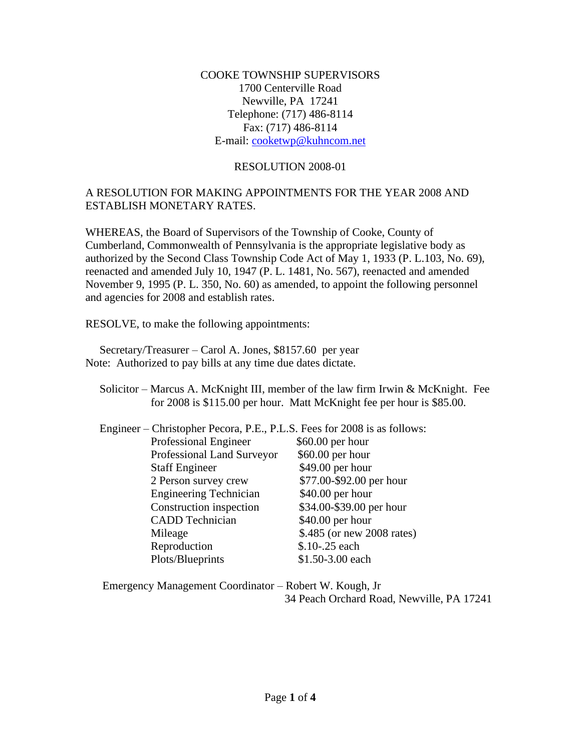COOKE TOWNSHIP SUPERVISORS 1700 Centerville Road Newville, PA 17241 Telephone: (717) 486-8114 Fax: (717) 486-8114 E-mail: [cooketwp@kuhncom.net](mailto:cooketwp@kuhncom.net)

## RESOLUTION 2008-01

## A RESOLUTION FOR MAKING APPOINTMENTS FOR THE YEAR 2008 AND ESTABLISH MONETARY RATES.

WHEREAS, the Board of Supervisors of the Township of Cooke, County of Cumberland, Commonwealth of Pennsylvania is the appropriate legislative body as authorized by the Second Class Township Code Act of May 1, 1933 (P. L.103, No. 69), reenacted and amended July 10, 1947 (P. L. 1481, No. 567), reenacted and amended November 9, 1995 (P. L. 350, No. 60) as amended, to appoint the following personnel and agencies for 2008 and establish rates.

RESOLVE, to make the following appointments:

 Secretary/Treasurer – Carol A. Jones, \$8157.60 per year Note: Authorized to pay bills at any time due dates dictate.

 Solicitor – Marcus A. McKnight III, member of the law firm Irwin & McKnight. Fee for 2008 is \$115.00 per hour. Matt McKnight fee per hour is \$85.00.

| Engineer – Christopher Pecora, P.E., P.L.S. Fees for 2008 is as follows: |                            |
|--------------------------------------------------------------------------|----------------------------|
| Professional Engineer                                                    | $$60.00$ per hour          |
| Professional Land Surveyor                                               | $$60.00$ per hour          |
| <b>Staff Engineer</b>                                                    | \$49.00 per hour           |
| 2 Person survey crew                                                     | \$77.00-\$92.00 per hour   |
| <b>Engineering Technician</b>                                            | $$40.00$ per hour          |
| Construction inspection                                                  | \$34.00-\$39.00 per hour   |
| <b>CADD</b> Technician                                                   | \$40.00 per hour           |
| Mileage                                                                  | \$.485 (or new 2008 rates) |
| Reproduction                                                             | \$.10-.25 each             |
| Plots/Blueprints                                                         | \$1.50-3.00 each           |
|                                                                          |                            |

 Emergency Management Coordinator – Robert W. Kough, Jr 34 Peach Orchard Road, Newville, PA 17241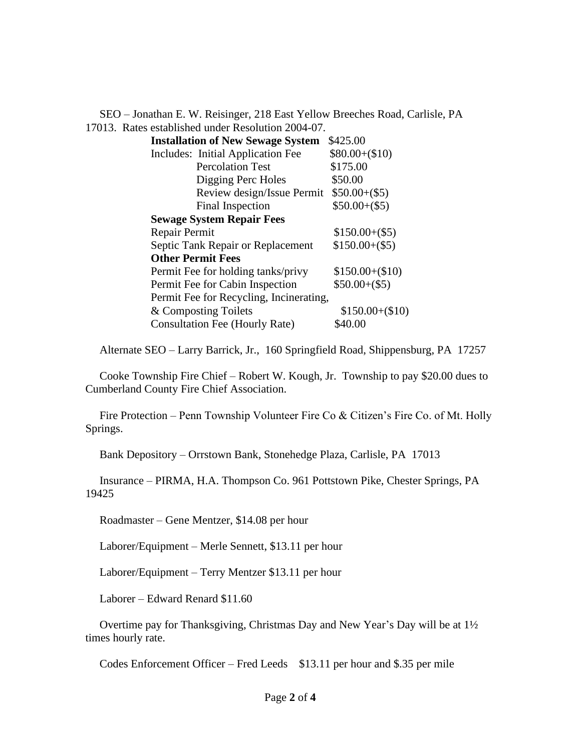SEO – Jonathan E. W. Reisinger, 218 East Yellow Breeches Road, Carlisle, PA 17013. Rates established under Resolution 2004-07.

| \$425.00                                |
|-----------------------------------------|
| $$80.00+($10)$                          |
| \$175.00                                |
| \$50.00                                 |
| $$50.00+($5)$                           |
| $$50.00+($5)$                           |
|                                         |
| $$150.00+($5)$                          |
| $$150.00+($5)$                          |
|                                         |
| $$150.00+($10)$                         |
| $$50.00+($5)$                           |
| Permit Fee for Recycling, Incinerating, |
| $$150.00+($10)$                         |
| \$40.00                                 |
|                                         |

Alternate SEO – Larry Barrick, Jr., 160 Springfield Road, Shippensburg, PA 17257

 Cooke Township Fire Chief – Robert W. Kough, Jr. Township to pay \$20.00 dues to Cumberland County Fire Chief Association.

 Fire Protection – Penn Township Volunteer Fire Co & Citizen's Fire Co. of Mt. Holly Springs.

Bank Depository – Orrstown Bank, Stonehedge Plaza, Carlisle, PA 17013

 Insurance – PIRMA, H.A. Thompson Co. 961 Pottstown Pike, Chester Springs, PA 19425

Roadmaster – Gene Mentzer, \$14.08 per hour

Laborer/Equipment – Merle Sennett, \$13.11 per hour

Laborer/Equipment – Terry Mentzer \$13.11 per hour

Laborer – Edward Renard \$11.60

 Overtime pay for Thanksgiving, Christmas Day and New Year's Day will be at 1½ times hourly rate.

Codes Enforcement Officer – Fred Leeds \$13.11 per hour and \$.35 per mile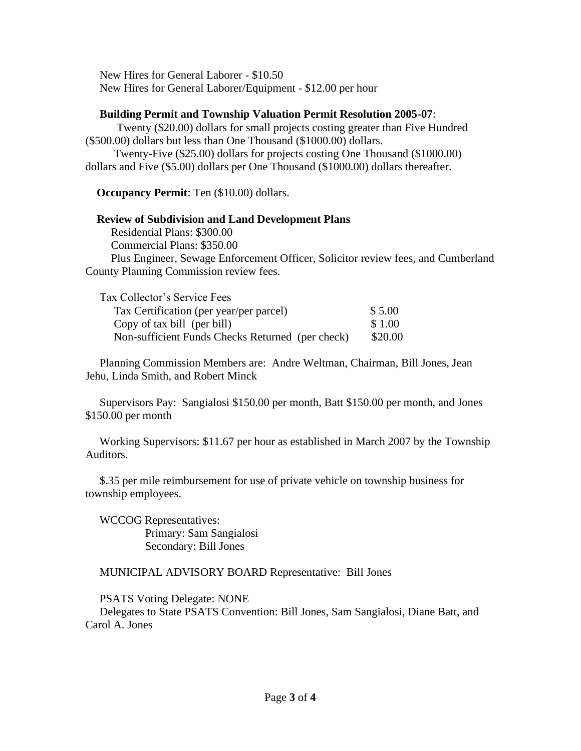New Hires for General Laborer - \$10.50 New Hires for General Laborer/Equipment - \$12.00 per hour

## **Building Permit and Township Valuation Permit Resolution 2005-07**:

 Twenty (\$20.00) dollars for small projects costing greater than Five Hundred (\$500.00) dollars but less than One Thousand (\$1000.00) dollars.

 Twenty-Five (\$25.00) dollars for projects costing One Thousand (\$1000.00) dollars and Five (\$5.00) dollars per One Thousand (\$1000.00) dollars thereafter.

**Occupancy Permit**: Ten (\$10.00) dollars.

## **Review of Subdivision and Land Development Plans**

 Residential Plans: \$300.00 Commercial Plans: \$350.00

 Plus Engineer, Sewage Enforcement Officer, Solicitor review fees, and Cumberland County Planning Commission review fees.

| Tax Collector's Service Fees                     |         |
|--------------------------------------------------|---------|
| Tax Certification (per year/per parcel)          | \$5.00  |
| Copy of tax bill (per bill)                      |         |
| Non-sufficient Funds Checks Returned (per check) | \$20.00 |

 Planning Commission Members are: Andre Weltman, Chairman, Bill Jones, Jean Jehu, Linda Smith, and Robert Minck

 Supervisors Pay: Sangialosi \$150.00 per month, Batt \$150.00 per month, and Jones \$150.00 per month

 Working Supervisors: \$11.67 per hour as established in March 2007 by the Township Auditors.

 \$.35 per mile reimbursement for use of private vehicle on township business for township employees.

 WCCOG Representatives: Primary: Sam Sangialosi Secondary: Bill Jones

MUNICIPAL ADVISORY BOARD Representative: Bill Jones

PSATS Voting Delegate: NONE

 Delegates to State PSATS Convention: Bill Jones, Sam Sangialosi, Diane Batt, and Carol A. Jones